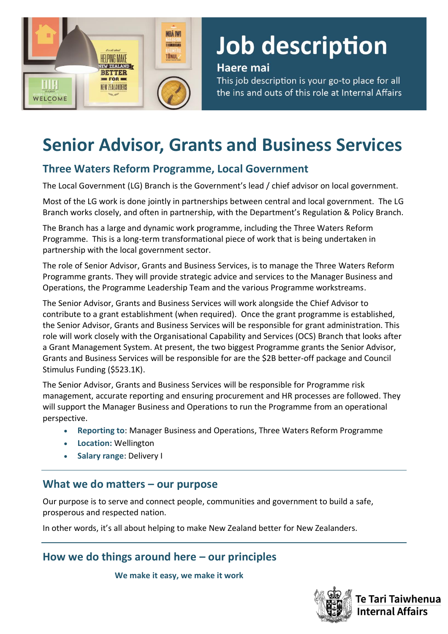

# Job description

#### Haere mai

This job description is your go-to place for all the ins and outs of this role at Internal Affairs

# **Senior Advisor, Grants and Business Services**

# **Three Waters Reform Programme, Local Government**

The Local Government (LG) Branch is the Government's lead / chief advisor on local government.

Most of the LG work is done jointly in partnerships between central and local government. The LG Branch works closely, and often in partnership, with the Department's Regulation & Policy Branch.

The Branch has a large and dynamic work programme, including the Three Waters Reform Programme. This is a long-term transformational piece of work that is being undertaken in partnership with the local government sector.

The role of Senior Advisor, Grants and Business Services, is to manage the Three Waters Reform Programme grants. They will provide strategic advice and services to the Manager Business and Operations, the Programme Leadership Team and the various Programme workstreams.

The Senior Advisor, Grants and Business Services will work alongside the Chief Advisor to contribute to a grant establishment (when required). Once the grant programme is established, the Senior Advisor, Grants and Business Services will be responsible for grant administration. This role will work closely with the Organisational Capability and Services (OCS) Branch that looks after a Grant Management System. At present, the two biggest Programme grants the Senior Advisor, Grants and Business Services will be responsible for are the \$2B better-off package and Council Stimulus Funding (\$523.1K).

The Senior Advisor, Grants and Business Services will be responsible for Programme risk management, accurate reporting and ensuring procurement and HR processes are followed. They will support the Manager Business and Operations to run the Programme from an operational perspective.

- **Reporting to**: Manager Business and Operations, Three Waters Reform Programme
- **Location:** Wellington
- **Salary range**: Delivery I

## **What we do matters – our purpose**

Our purpose is to serve and connect people, communities and government to build a safe, prosperous and respected nation.

In other words, it's all about helping to make New Zealand better for New Zealanders.

**How we do things around here – our principles**

**We make it easy, we make it work** 

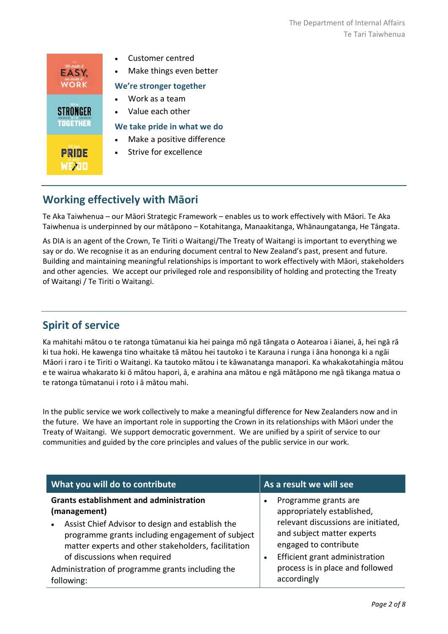

• Make things even better

#### **We're stronger together**

#### **We take pride in what we do**

Make a positive difference

## **Working effectively with Māori**

Te Aka Taiwhenua – our Māori Strategic Framework – enables us to work effectively with Māori. Te Aka Taiwhenua is underpinned by our mātāpono – Kotahitanga, Manaakitanga, Whānaungatanga, He Tāngata.

As DIA is an agent of the Crown, Te Tiriti o Waitangi/The Treaty of Waitangi is important to everything we say or do. We recognise it as an enduring document central to New Zealand's past, present and future. Building and maintaining meaningful relationships is important to work effectively with Māori, stakeholders and other agencies. We accept our privileged role and responsibility of holding and protecting the Treaty of Waitangi / Te Tiriti o Waitangi.

## **Spirit of service**

Ka mahitahi mātou o te ratonga tūmatanui kia hei painga mō ngā tāngata o Aotearoa i āianei, ā, hei ngā rā ki tua hoki. He kawenga tino whaitake tā mātou hei tautoko i te Karauna i runga i āna hononga ki a ngāi Māori i raro i te Tiriti o Waitangi. Ka tautoko mātou i te kāwanatanga manapori. Ka whakakotahingia mātou e te wairua whakarato ki ō mātou hapori, ā, e arahina ana mātou e ngā mātāpono me ngā tikanga matua o te ratonga tūmatanui i roto i ā mātou mahi.

In the public service we work collectively to make a meaningful difference for New Zealanders now and in the future. We have an important role in supporting the Crown in its relationships with Māori under the Treaty of Waitangi.  We support democratic government. We are unified by a spirit of service to our communities and guided by the core principles and values of the public service in our work.

| What you will do to contribute                                                                                                                                                                                                                                                                                                               | As a result we will see                                                                                                                                                                                                               |  |  |
|----------------------------------------------------------------------------------------------------------------------------------------------------------------------------------------------------------------------------------------------------------------------------------------------------------------------------------------------|---------------------------------------------------------------------------------------------------------------------------------------------------------------------------------------------------------------------------------------|--|--|
| <b>Grants establishment and administration</b><br>(management)<br>Assist Chief Advisor to design and establish the<br>$\bullet$<br>programme grants including engagement of subject<br>matter experts and other stakeholders, facilitation<br>of discussions when required<br>Administration of programme grants including the<br>following: | Programme grants are<br>appropriately established,<br>relevant discussions are initiated,<br>and subject matter experts<br>engaged to contribute<br>Efficient grant administration<br>process is in place and followed<br>accordingly |  |  |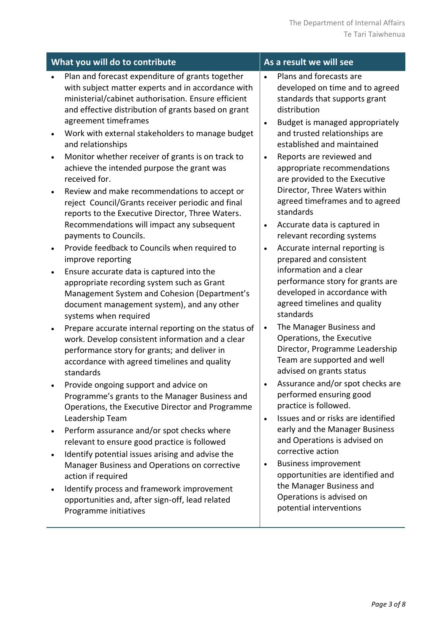| What you will do to contribute                                                                                                                                                                                                                                                                                                                                                                                                                                                                                                                                                                                                                                                                                   | As a result we will see                                                                                                                                                                                                                                                                                                                                                                                                                                                                                      |
|------------------------------------------------------------------------------------------------------------------------------------------------------------------------------------------------------------------------------------------------------------------------------------------------------------------------------------------------------------------------------------------------------------------------------------------------------------------------------------------------------------------------------------------------------------------------------------------------------------------------------------------------------------------------------------------------------------------|--------------------------------------------------------------------------------------------------------------------------------------------------------------------------------------------------------------------------------------------------------------------------------------------------------------------------------------------------------------------------------------------------------------------------------------------------------------------------------------------------------------|
| Plan and forecast expenditure of grants together<br>with subject matter experts and in accordance with<br>ministerial/cabinet authorisation. Ensure efficient<br>and effective distribution of grants based on grant<br>agreement timeframes<br>Work with external stakeholders to manage budget<br>$\bullet$<br>and relationships<br>Monitor whether receiver of grants is on track to<br>$\bullet$<br>achieve the intended purpose the grant was<br>received for.<br>Review and make recommendations to accept or<br>$\bullet$<br>reject Council/Grants receiver periodic and final<br>reports to the Executive Director, Three Waters.<br>Recommendations will impact any subsequent<br>payments to Councils. | Plans and forecasts are<br>$\bullet$<br>developed on time and to agreed<br>standards that supports grant<br>distribution<br>Budget is managed appropriately<br>$\bullet$<br>and trusted relationships are<br>established and maintained<br>Reports are reviewed and<br>$\bullet$<br>appropriate recommendations<br>are provided to the Executive<br>Director, Three Waters within<br>agreed timeframes and to agreed<br>standards<br>Accurate data is captured in<br>$\bullet$<br>relevant recording systems |
| Provide feedback to Councils when required to<br>$\bullet$<br>improve reporting<br>Ensure accurate data is captured into the<br>$\bullet$<br>appropriate recording system such as Grant<br>Management System and Cohesion (Department's<br>document management system), and any other<br>systems when required                                                                                                                                                                                                                                                                                                                                                                                                   | Accurate internal reporting is<br>$\bullet$<br>prepared and consistent<br>information and a clear<br>performance story for grants are<br>developed in accordance with<br>agreed timelines and quality<br>standards                                                                                                                                                                                                                                                                                           |
| Prepare accurate internal reporting on the status of<br>$\bullet$<br>work. Develop consistent information and a clear<br>performance story for grants; and deliver in<br>accordance with agreed timelines and quality<br>standards                                                                                                                                                                                                                                                                                                                                                                                                                                                                               | The Manager Business and<br>$\bullet$<br>Operations, the Executive<br>Director, Programme Leadership<br>Team are supported and well<br>advised on grants status                                                                                                                                                                                                                                                                                                                                              |
| Provide ongoing support and advice on<br>Programme's grants to the Manager Business and<br>Operations, the Executive Director and Programme<br>Leadership Team                                                                                                                                                                                                                                                                                                                                                                                                                                                                                                                                                   | Assurance and/or spot checks are<br>performed ensuring good<br>practice is followed.<br>Issues and or risks are identified<br>$\bullet$                                                                                                                                                                                                                                                                                                                                                                      |
| Perform assurance and/or spot checks where<br>relevant to ensure good practice is followed<br>Identify potential issues arising and advise the                                                                                                                                                                                                                                                                                                                                                                                                                                                                                                                                                                   | early and the Manager Business<br>and Operations is advised on<br>corrective action                                                                                                                                                                                                                                                                                                                                                                                                                          |
| Manager Business and Operations on corrective<br>action if required                                                                                                                                                                                                                                                                                                                                                                                                                                                                                                                                                                                                                                              | <b>Business improvement</b><br>$\bullet$<br>opportunities are identified and<br>the Manager Business and                                                                                                                                                                                                                                                                                                                                                                                                     |
| Identify process and framework improvement<br>opportunities and, after sign-off, lead related<br>Programme initiatives                                                                                                                                                                                                                                                                                                                                                                                                                                                                                                                                                                                           | Operations is advised on<br>potential interventions                                                                                                                                                                                                                                                                                                                                                                                                                                                          |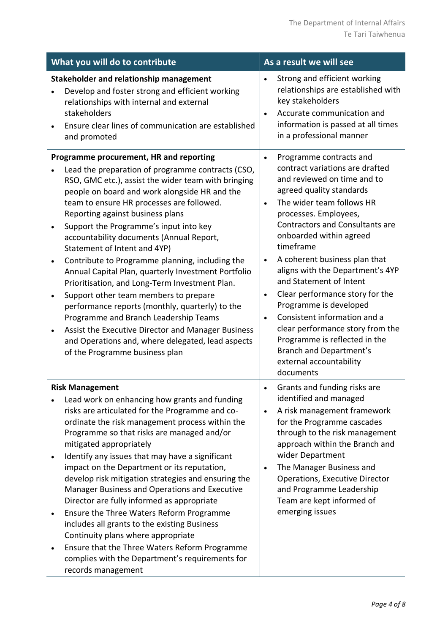| What you will do to contribute |                                                                                                                                                                                                                                                                                                                                                                                                                                                                                                                                                                                                                                                                                                                                                                                                                                                           | As a result we will see                                       |                                                                                                                                                                                                                                                                                                                                                                                                                                                                                                                                                                                                    |  |  |
|--------------------------------|-----------------------------------------------------------------------------------------------------------------------------------------------------------------------------------------------------------------------------------------------------------------------------------------------------------------------------------------------------------------------------------------------------------------------------------------------------------------------------------------------------------------------------------------------------------------------------------------------------------------------------------------------------------------------------------------------------------------------------------------------------------------------------------------------------------------------------------------------------------|---------------------------------------------------------------|----------------------------------------------------------------------------------------------------------------------------------------------------------------------------------------------------------------------------------------------------------------------------------------------------------------------------------------------------------------------------------------------------------------------------------------------------------------------------------------------------------------------------------------------------------------------------------------------------|--|--|
|                                | Stakeholder and relationship management<br>Develop and foster strong and efficient working<br>relationships with internal and external<br>stakeholders<br>Ensure clear lines of communication are established<br>and promoted                                                                                                                                                                                                                                                                                                                                                                                                                                                                                                                                                                                                                             | $\bullet$<br>$\bullet$                                        | Strong and efficient working<br>relationships are established with<br>key stakeholders<br>Accurate communication and<br>information is passed at all times<br>in a professional manner                                                                                                                                                                                                                                                                                                                                                                                                             |  |  |
| $\bullet$<br>$\bullet$         | Programme procurement, HR and reporting<br>Lead the preparation of programme contracts (CSO,<br>RSO, GMC etc.), assist the wider team with bringing<br>people on board and work alongside HR and the<br>team to ensure HR processes are followed.<br>Reporting against business plans<br>Support the Programme's input into key<br>accountability documents (Annual Report,<br>Statement of Intent and 4YP)<br>Contribute to Programme planning, including the<br>Annual Capital Plan, quarterly Investment Portfolio<br>Prioritisation, and Long-Term Investment Plan.<br>Support other team members to prepare<br>performance reports (monthly, quarterly) to the<br>Programme and Branch Leadership Teams<br>Assist the Executive Director and Manager Business<br>and Operations and, where delegated, lead aspects<br>of the Programme business plan | $\bullet$<br>$\bullet$<br>$\bullet$<br>$\bullet$<br>$\bullet$ | Programme contracts and<br>contract variations are drafted<br>and reviewed on time and to<br>agreed quality standards<br>The wider team follows HR<br>processes. Employees,<br><b>Contractors and Consultants are</b><br>onboarded within agreed<br>timeframe<br>A coherent business plan that<br>aligns with the Department's 4YP<br>and Statement of Intent<br>Clear performance story for the<br>Programme is developed<br>Consistent information and a<br>clear performance story from the<br>Programme is reflected in the<br>Branch and Department's<br>external accountability<br>documents |  |  |
| ٠<br>$\bullet$                 | <b>Risk Management</b><br>Lead work on enhancing how grants and funding<br>risks are articulated for the Programme and co-<br>ordinate the risk management process within the<br>Programme so that risks are managed and/or<br>mitigated appropriately<br>Identify any issues that may have a significant<br>impact on the Department or its reputation,<br>develop risk mitigation strategies and ensuring the<br>Manager Business and Operations and Executive<br>Director are fully informed as appropriate<br>Ensure the Three Waters Reform Programme<br>includes all grants to the existing Business<br>Continuity plans where appropriate<br>Ensure that the Three Waters Reform Programme<br>complies with the Department's requirements for<br>records management                                                                                | $\bullet$<br>$\bullet$                                        | Grants and funding risks are<br>identified and managed<br>A risk management framework<br>for the Programme cascades<br>through to the risk management<br>approach within the Branch and<br>wider Department<br>The Manager Business and<br><b>Operations, Executive Director</b><br>and Programme Leadership<br>Team are kept informed of<br>emerging issues                                                                                                                                                                                                                                       |  |  |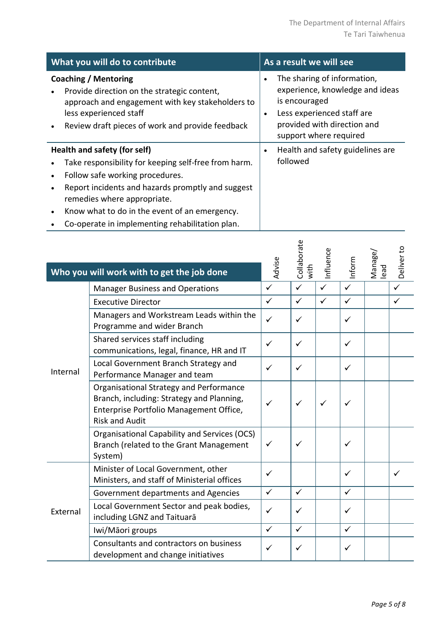| What you will do to contribute                                                                                                                                                                        | As a result we will see                                                                                                                                                             |  |  |
|-------------------------------------------------------------------------------------------------------------------------------------------------------------------------------------------------------|-------------------------------------------------------------------------------------------------------------------------------------------------------------------------------------|--|--|
| Coaching / Mentoring<br>Provide direction on the strategic content,<br>approach and engagement with key stakeholders to<br>less experienced staff<br>Review draft pieces of work and provide feedback | The sharing of information,<br>experience, knowledge and ideas<br>is encouraged<br>Less experienced staff are<br>$\bullet$<br>provided with direction and<br>support where required |  |  |
| Health and safety (for self)                                                                                                                                                                          | Health and safety guidelines are<br>$\bullet$                                                                                                                                       |  |  |
| Take responsibility for keeping self-free from harm.                                                                                                                                                  | followed                                                                                                                                                                            |  |  |
| Follow safe working procedures.                                                                                                                                                                       |                                                                                                                                                                                     |  |  |
| Report incidents and hazards promptly and suggest<br>remedies where appropriate.                                                                                                                      |                                                                                                                                                                                     |  |  |
| Know what to do in the event of an emergency.                                                                                                                                                         |                                                                                                                                                                                     |  |  |
|                                                                                                                                                                                                       |                                                                                                                                                                                     |  |  |

• Co-operate in implementing rehabilitation plan.

|          | Who you will work with to get the job done                                                                                                               | Advise       | Collaborate<br>with | Influence    | Inform       | Manage/<br>lead | Deliver to   |
|----------|----------------------------------------------------------------------------------------------------------------------------------------------------------|--------------|---------------------|--------------|--------------|-----------------|--------------|
|          | <b>Manager Business and Operations</b>                                                                                                                   | $\checkmark$ | $\checkmark$        | $\checkmark$ | $\checkmark$ |                 | $\checkmark$ |
|          | <b>Executive Director</b>                                                                                                                                | $\checkmark$ | $\checkmark$        | $\checkmark$ | $\checkmark$ |                 | $\checkmark$ |
|          | Managers and Workstream Leads within the<br>Programme and wider Branch                                                                                   | $\checkmark$ | ✓                   |              | ✓            |                 |              |
|          | Shared services staff including<br>communications, legal, finance, HR and IT                                                                             |              | ✓                   |              | ✓            |                 |              |
| Internal | Local Government Branch Strategy and<br>Performance Manager and team                                                                                     | ✓            | ✓                   |              | ✓            |                 |              |
|          | Organisational Strategy and Performance<br>Branch, including: Strategy and Planning,<br>Enterprise Portfolio Management Office,<br><b>Risk and Audit</b> | ✓            | ✓                   | ✓            | ✓            |                 |              |
|          | Organisational Capability and Services (OCS)<br>Branch (related to the Grant Management<br>System)                                                       | $\checkmark$ | ✓                   |              | ✓            |                 |              |
|          | Minister of Local Government, other<br>Ministers, and staff of Ministerial offices                                                                       | ✓            |                     |              | ✓            |                 |              |
| External | Government departments and Agencies                                                                                                                      | $\checkmark$ | $\checkmark$        |              | $\checkmark$ |                 |              |
|          | Local Government Sector and peak bodies,<br>including LGNZ and Taituarā                                                                                  | ✓            | ✓                   |              | ✓            |                 |              |
|          | Iwi/Māori groups                                                                                                                                         | $\checkmark$ | $\checkmark$        |              | $\checkmark$ |                 |              |
|          | Consultants and contractors on business<br>development and change initiatives                                                                            | ✓            | ✓                   |              | ✓            |                 |              |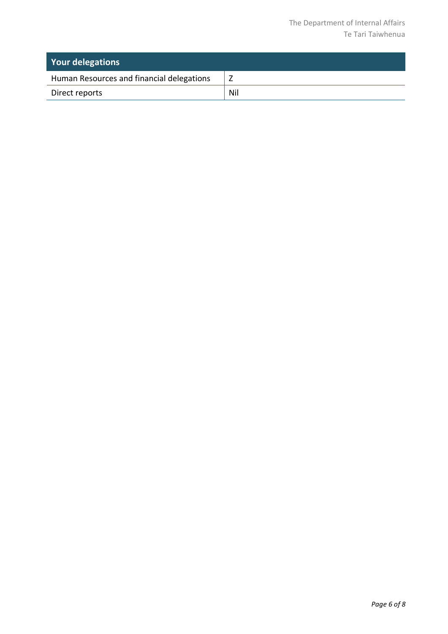| <b>Your delegations</b>                   |     |
|-------------------------------------------|-----|
| Human Resources and financial delegations |     |
| Direct reports                            | Nil |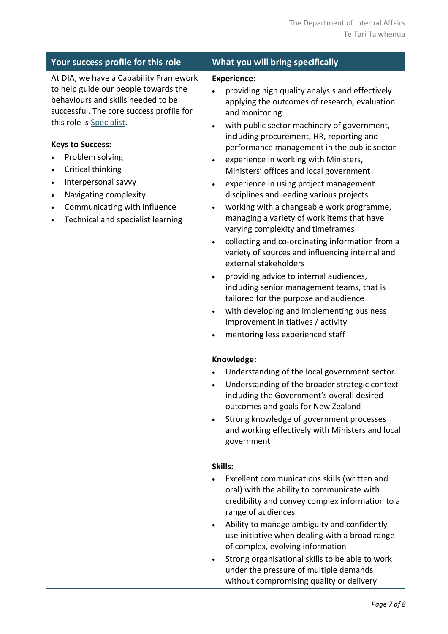| Your success profile for this role                                                                                                                                                                                                                                                                                                                                                                                          | What you will bring specifically                                                                                                                                                                                                                                                                                                                                                                                                                                                                                                                                                                                                                                                                                                                                                                                                                                                                                                                                                                                                                                   |  |  |  |  |
|-----------------------------------------------------------------------------------------------------------------------------------------------------------------------------------------------------------------------------------------------------------------------------------------------------------------------------------------------------------------------------------------------------------------------------|--------------------------------------------------------------------------------------------------------------------------------------------------------------------------------------------------------------------------------------------------------------------------------------------------------------------------------------------------------------------------------------------------------------------------------------------------------------------------------------------------------------------------------------------------------------------------------------------------------------------------------------------------------------------------------------------------------------------------------------------------------------------------------------------------------------------------------------------------------------------------------------------------------------------------------------------------------------------------------------------------------------------------------------------------------------------|--|--|--|--|
| At DIA, we have a Capability Framework<br>to help guide our people towards the<br>behaviours and skills needed to be<br>successful. The core success profile for<br>this role is Specialist.<br><b>Keys to Success:</b><br>Problem solving<br>Critical thinking<br>$\bullet$<br>Interpersonal savvy<br>$\bullet$<br>Navigating complexity<br>$\bullet$<br>Communicating with influence<br>Technical and specialist learning | <b>Experience:</b><br>providing high quality analysis and effectively<br>applying the outcomes of research, evaluation<br>and monitoring<br>with public sector machinery of government,<br>$\bullet$<br>including procurement, HR, reporting and<br>performance management in the public sector<br>experience in working with Ministers,<br>$\bullet$<br>Ministers' offices and local government<br>experience in using project management<br>$\bullet$<br>disciplines and leading various projects<br>working with a changeable work programme,<br>$\bullet$<br>managing a variety of work items that have<br>varying complexity and timeframes<br>collecting and co-ordinating information from a<br>$\bullet$<br>variety of sources and influencing internal and<br>external stakeholders<br>providing advice to internal audiences,<br>including senior management teams, that is<br>tailored for the purpose and audience<br>with developing and implementing business<br>$\bullet$<br>improvement initiatives / activity<br>mentoring less experienced staff |  |  |  |  |
|                                                                                                                                                                                                                                                                                                                                                                                                                             | Knowledge:<br>Understanding of the local government sector<br>Understanding of the broader strategic context<br>including the Government's overall desired<br>outcomes and goals for New Zealand<br>Strong knowledge of government processes<br>and working effectively with Ministers and local<br>government<br>Skills:<br>Excellent communications skills (written and<br>oral) with the ability to communicate with<br>credibility and convey complex information to a<br>range of audiences<br>Ability to manage ambiguity and confidently<br>use initiative when dealing with a broad range<br>of complex, evolving information                                                                                                                                                                                                                                                                                                                                                                                                                              |  |  |  |  |

Strong organisational skills to be able to work under the pressure of multiple demands without compromising quality or delivery